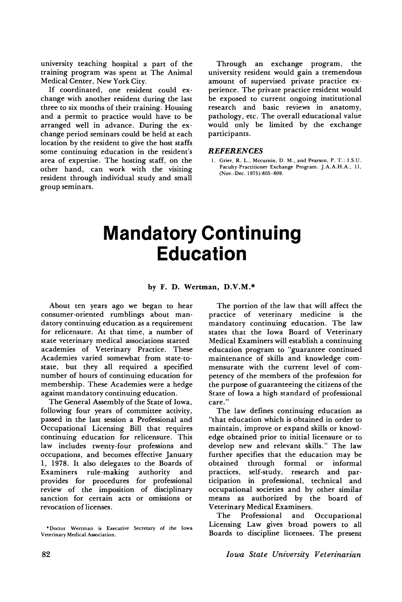university teaching hospital a part of the training program was spent at The Animal Medical Center, New York City.

If coordinated, one resident could exchange with another resident during the last three to six months of their training. Housing and a permit to practice would have to be arranged well in advance. During the exchange period seminars could be held at each location by the resident to give the host staffs some continuing education in the resident's area of expertise. The hosting staff, on the other hand, can work with the visiting resident through individual study and small group seminars.

Through an exchange program, the university resident would gain a tremendous amount of supervised private practice experience. The private practice resident would be exposed to current ongoing institutional research and basic reviews in anatomy, pathology, etc. The overall educational value would only be limited by the exchange participants.

## **REFERENCES**

1. Grier, R. L., Mccurnin, D. M., and Pearson, P. T.: I.S.U. Faculty-Practitioner Exchange Program. J.A.A.H.A., 11, (Nov.-Dec. 1975):805-809.

## **Mandatory Continuing Education**

## by F. D. Wertman, D.V.M.\*

About ten years ago we began to hear consumer-oriented rumblings about mandatory continuing education as a requirement for relicensure. At that time, a number of state veterinary medical associations started academies of Veterinary Practice. These Academies varied somewhat from state-tostate, but they all required a specified number of hours of continuing education for membership. These Academies were a hedge against mandatory continuing education.

The General Assembly of the State of Iowa, following four years of committee activity, passed in the last session a Professional and Occupational Licensing Bill that requires continuing education for relicensure. This law includes twenty-four professions and occupations, and becomes effective January 1, 1978. It also delegates to the Boards of Examiners rule-making authority and provides for procedures for professional review of the imposition of disciplinary sanction for certain acts or omissions or revocation of licenses.

The portion of the law that will affect the practice of veterinary medicine is the mandatory continuing education. The law states that the Iowa Board of Veterinary Medical Examiners will establish a continuing education program to "guarantee continued maintenance of skills and knowledge commensurate with the current level of competency of the members of the profession for the purpose of guaranteeing the citizens of the State of Iowa a high standard of professional care."

The law defines continuing education as "that education which is obtained in order to maintain, improve or expand skills or knowledge obtained prior to initial licensure or to develop new and relevant skills." The law further specifies that the education may be obtained through formal or informal practices, self-study, research and participation in professional, technical and occupational societies and by other similar means as authorized by the board of Veterinary Medical Examiners.

The Professional and Occupational Licensing Law gives broad powers to all Boards to discipline licensees. The present

<sup>\*</sup>Doctor Wertman is Executive Secretary of the Iowa Veterinary Medical Association.